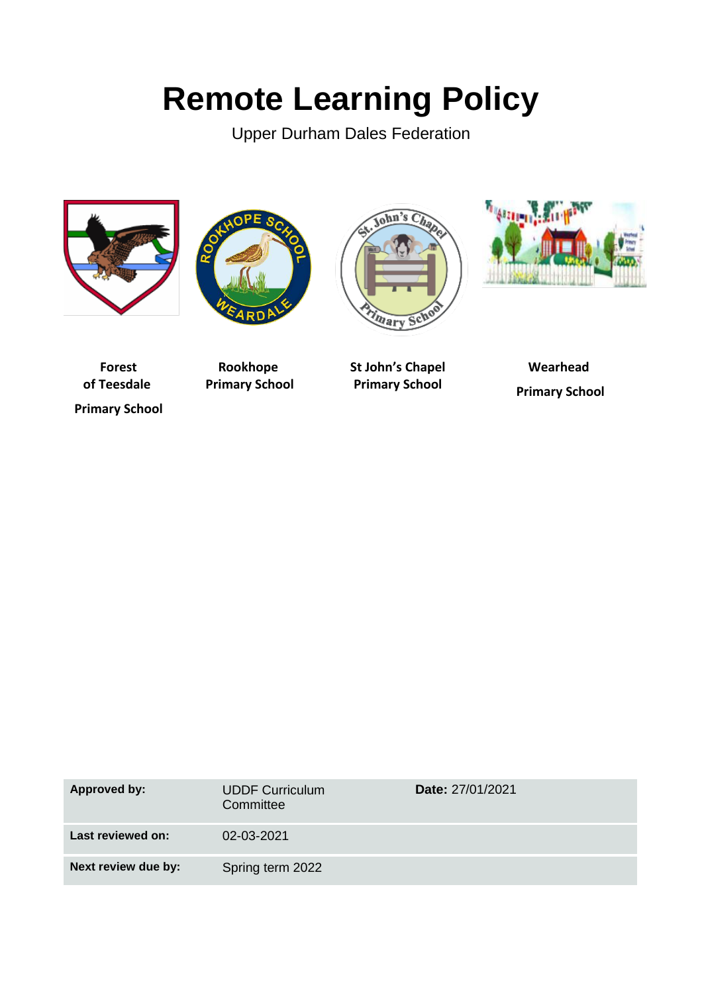# **Remote Learning Policy**

Upper Durham Dales Federation









**Forest of Teesdale Primary School**

**Rookhope Primary School**

**St John's Chapel Primary School**

**Wearhead Primary School**

| Approved by:        | <b>UDDF Curriculum</b><br>Committee | <b>Date: 27/01/2021</b> |
|---------------------|-------------------------------------|-------------------------|
| Last reviewed on:   | 02-03-2021                          |                         |
| Next review due by: | Spring term 2022                    |                         |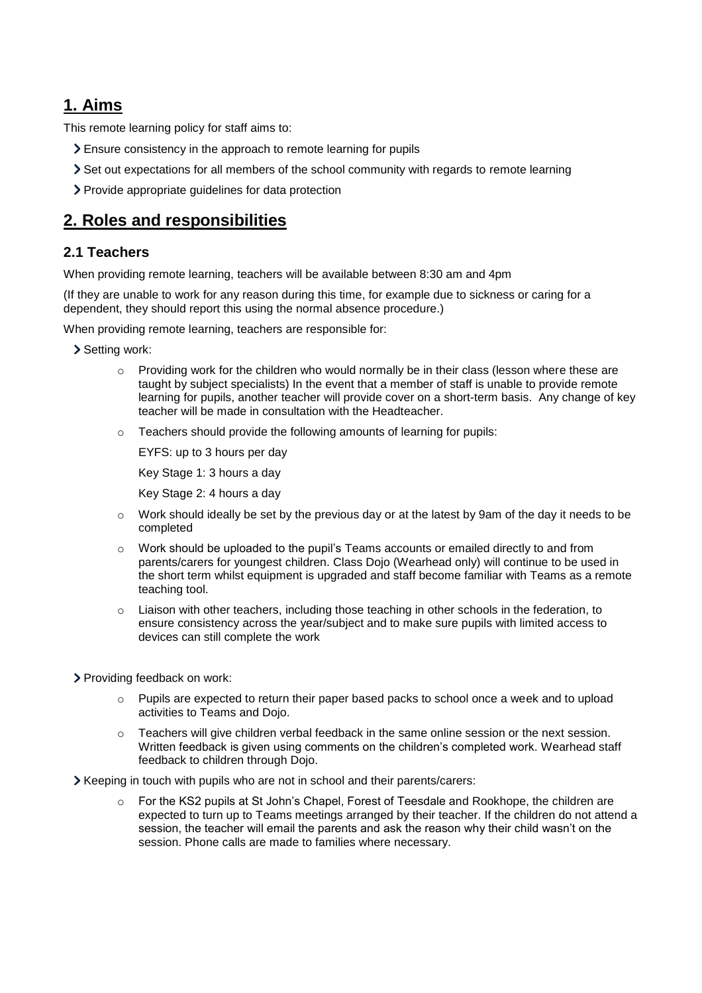# **1. Aims**

This remote learning policy for staff aims to:

- Ensure consistency in the approach to remote learning for pupils
- Set out expectations for all members of the school community with regards to remote learning
- Provide appropriate guidelines for data protection

# **2. Roles and responsibilities**

#### **2.1 Teachers**

When providing remote learning, teachers will be available between 8:30 am and 4pm

(If they are unable to work for any reason during this time, for example due to sickness or caring for a dependent, they should report this using the normal absence procedure.)

When providing remote learning, teachers are responsible for:

- Setting work:
	- $\circ$  Providing work for the children who would normally be in their class (lesson where these are taught by subject specialists) In the event that a member of staff is unable to provide remote learning for pupils, another teacher will provide cover on a short-term basis. Any change of key teacher will be made in consultation with the Headteacher.
	- o Teachers should provide the following amounts of learning for pupils:

EYFS: up to 3 hours per day

Key Stage 1: 3 hours a day

Key Stage 2: 4 hours a day

- $\circ$  Work should ideally be set by the previous day or at the latest by 9am of the day it needs to be completed
- o Work should be uploaded to the pupil's Teams accounts or emailed directly to and from parents/carers for youngest children. Class Dojo (Wearhead only) will continue to be used in the short term whilst equipment is upgraded and staff become familiar with Teams as a remote teaching tool.
- $\circ$  Liaison with other teachers, including those teaching in other schools in the federation, to ensure consistency across the year/subject and to make sure pupils with limited access to devices can still complete the work

Providing feedback on work:

- $\circ$  Pupils are expected to return their paper based packs to school once a week and to upload activities to Teams and Dojo.
- $\circ$  Teachers will give children verbal feedback in the same online session or the next session. Written feedback is given using comments on the children's completed work. Wearhead staff feedback to children through Dojo.

Keeping in touch with pupils who are not in school and their parents/carers:

For the KS2 pupils at St John's Chapel, Forest of Teesdale and Rookhope, the children are expected to turn up to Teams meetings arranged by their teacher. If the children do not attend a session, the teacher will email the parents and ask the reason why their child wasn't on the session. Phone calls are made to families where necessary.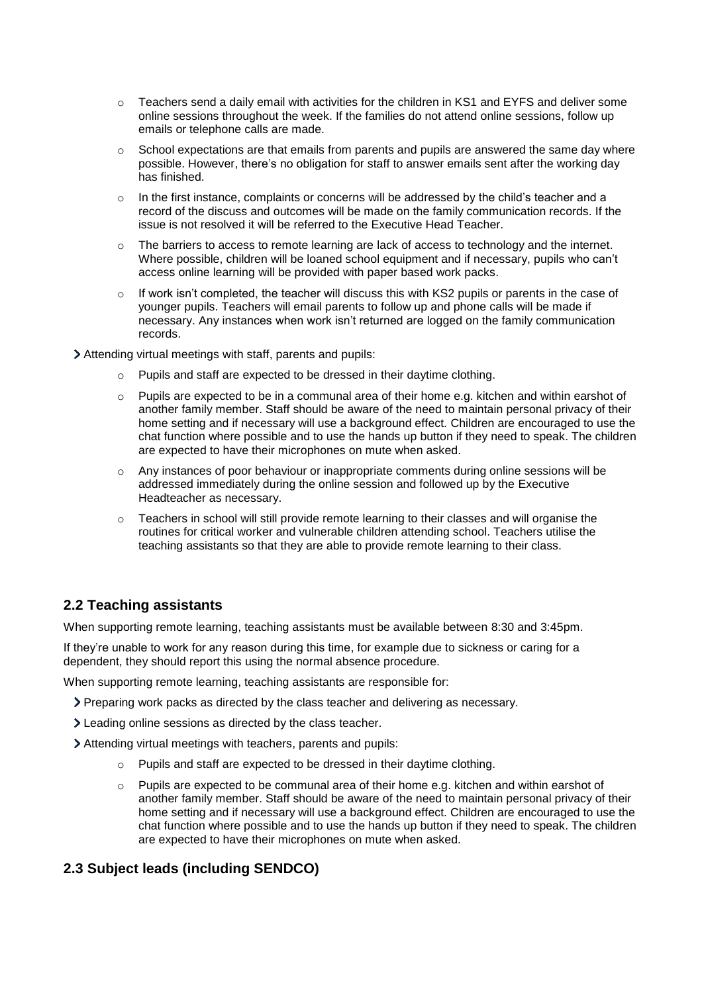- $\circ$  Teachers send a daily email with activities for the children in KS1 and EYFS and deliver some online sessions throughout the week. If the families do not attend online sessions, follow up emails or telephone calls are made.
- $\circ$  School expectations are that emails from parents and pupils are answered the same day where possible. However, there's no obligation for staff to answer emails sent after the working day has finished.
- $\circ$  In the first instance, complaints or concerns will be addressed by the child's teacher and a record of the discuss and outcomes will be made on the family communication records. If the issue is not resolved it will be referred to the Executive Head Teacher.
- $\circ$  The barriers to access to remote learning are lack of access to technology and the internet. Where possible, children will be loaned school equipment and if necessary, pupils who can't access online learning will be provided with paper based work packs.
- $\circ$  If work isn't completed, the teacher will discuss this with KS2 pupils or parents in the case of younger pupils. Teachers will email parents to follow up and phone calls will be made if necessary. Any instances when work isn't returned are logged on the family communication records.

Attending virtual meetings with staff, parents and pupils:

- o Pupils and staff are expected to be dressed in their daytime clothing.
- $\circ$  Pupils are expected to be in a communal area of their home e.g. kitchen and within earshot of another family member. Staff should be aware of the need to maintain personal privacy of their home setting and if necessary will use a background effect. Children are encouraged to use the chat function where possible and to use the hands up button if they need to speak. The children are expected to have their microphones on mute when asked.
- o Any instances of poor behaviour or inappropriate comments during online sessions will be addressed immediately during the online session and followed up by the Executive Headteacher as necessary.
- $\circ$  Teachers in school will still provide remote learning to their classes and will organise the routines for critical worker and vulnerable children attending school. Teachers utilise the teaching assistants so that they are able to provide remote learning to their class.

#### **2.2 Teaching assistants**

When supporting remote learning, teaching assistants must be available between 8:30 and 3:45pm.

If they're unable to work for any reason during this time, for example due to sickness or caring for a dependent, they should report this using the normal absence procedure.

When supporting remote learning, teaching assistants are responsible for:

- Preparing work packs as directed by the class teacher and delivering as necessary.
- Leading online sessions as directed by the class teacher.
- Attending virtual meetings with teachers, parents and pupils:
	- o Pupils and staff are expected to be dressed in their daytime clothing.
	- $\circ$  Pupils are expected to be communal area of their home e.g. kitchen and within earshot of another family member. Staff should be aware of the need to maintain personal privacy of their home setting and if necessary will use a background effect. Children are encouraged to use the chat function where possible and to use the hands up button if they need to speak. The children are expected to have their microphones on mute when asked.

#### **2.3 Subject leads (including SENDCO)**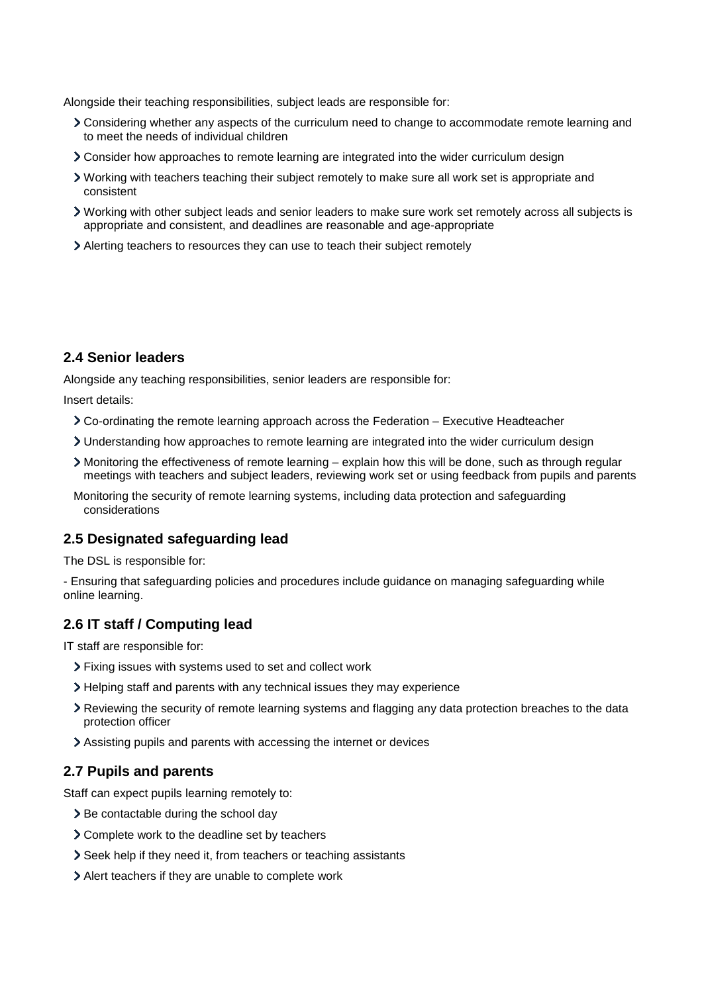Alongside their teaching responsibilities, subject leads are responsible for:

- Considering whether any aspects of the curriculum need to change to accommodate remote learning and to meet the needs of individual children
- Consider how approaches to remote learning are integrated into the wider curriculum design
- Working with teachers teaching their subject remotely to make sure all work set is appropriate and consistent
- Working with other subject leads and senior leaders to make sure work set remotely across all subjects is appropriate and consistent, and deadlines are reasonable and age-appropriate
- Alerting teachers to resources they can use to teach their subject remotely

#### **2.4 Senior leaders**

Alongside any teaching responsibilities, senior leaders are responsible for:

Insert details:

- Co-ordinating the remote learning approach across the Federation Executive Headteacher
- Understanding how approaches to remote learning are integrated into the wider curriculum design
- Monitoring the effectiveness of remote learning explain how this will be done, such as through regular meetings with teachers and subject leaders, reviewing work set or using feedback from pupils and parents
- Monitoring the security of remote learning systems, including data protection and safeguarding considerations

#### **2.5 Designated safeguarding lead**

The DSL is responsible for:

- Ensuring that safeguarding policies and procedures include guidance on managing safeguarding while online learning.

#### **2.6 IT staff / Computing lead**

IT staff are responsible for:

- Fixing issues with systems used to set and collect work
- Helping staff and parents with any technical issues they may experience
- Reviewing the security of remote learning systems and flagging any data protection breaches to the data protection officer
- Assisting pupils and parents with accessing the internet or devices

#### **2.7 Pupils and parents**

Staff can expect pupils learning remotely to:

- > Be contactable during the school day
- Complete work to the deadline set by teachers
- Seek help if they need it, from teachers or teaching assistants
- Alert teachers if they are unable to complete work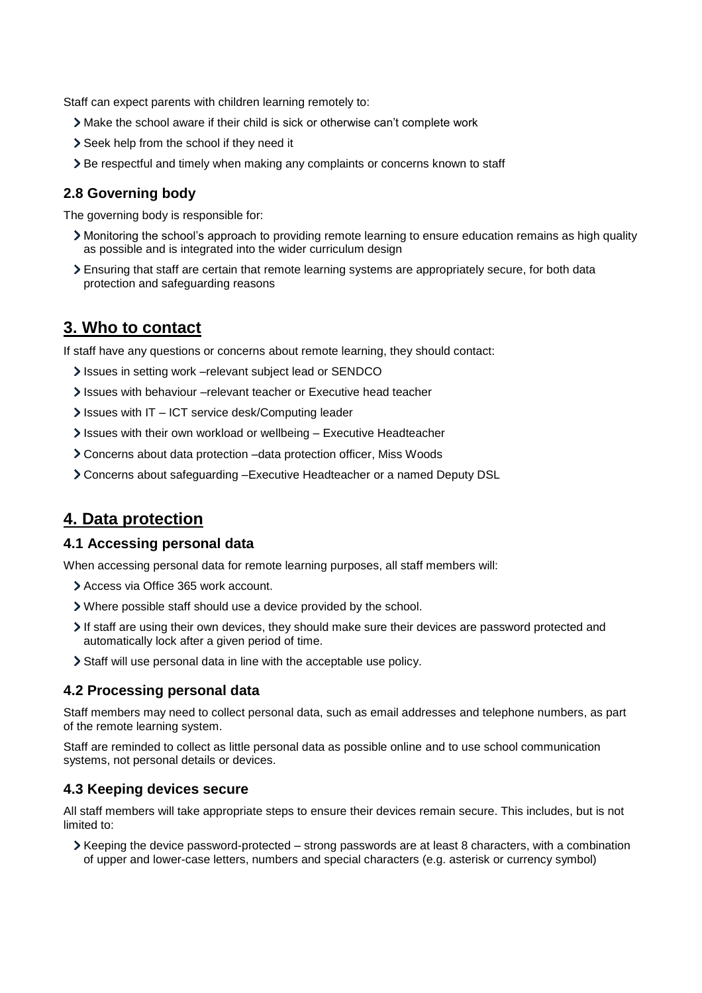Staff can expect parents with children learning remotely to:

- Make the school aware if their child is sick or otherwise can't complete work
- Seek help from the school if they need it
- Be respectful and timely when making any complaints or concerns known to staff

#### **2.8 Governing body**

The governing body is responsible for:

- Monitoring the school's approach to providing remote learning to ensure education remains as high quality as possible and is integrated into the wider curriculum design
- Ensuring that staff are certain that remote learning systems are appropriately secure, for both data protection and safeguarding reasons

### **3. Who to contact**

If staff have any questions or concerns about remote learning, they should contact:

- It issues in setting work –relevant subject lead or SENDCO
- Issues with behaviour –relevant teacher or Executive head teacher
- Issues with IT ICT service desk/Computing leader
- Issues with their own workload or wellbeing Executive Headteacher
- Concerns about data protection –data protection officer, Miss Woods
- Concerns about safeguarding –Executive Headteacher or a named Deputy DSL

# **4. Data protection**

#### **4.1 Accessing personal data**

When accessing personal data for remote learning purposes, all staff members will:

- Access via Office 365 work account.
- Where possible staff should use a device provided by the school.
- If staff are using their own devices, they should make sure their devices are password protected and automatically lock after a given period of time.
- Staff will use personal data in line with the acceptable use policy.

#### **4.2 Processing personal data**

Staff members may need to collect personal data, such as email addresses and telephone numbers, as part of the remote learning system.

Staff are reminded to collect as little personal data as possible online and to use school communication systems, not personal details or devices.

#### **4.3 Keeping devices secure**

All staff members will take appropriate steps to ensure their devices remain secure. This includes, but is not limited to:

 $\triangleright$  Keeping the device password-protected – strong passwords are at least 8 characters, with a combination of upper and lower-case letters, numbers and special characters (e.g. asterisk or currency symbol)